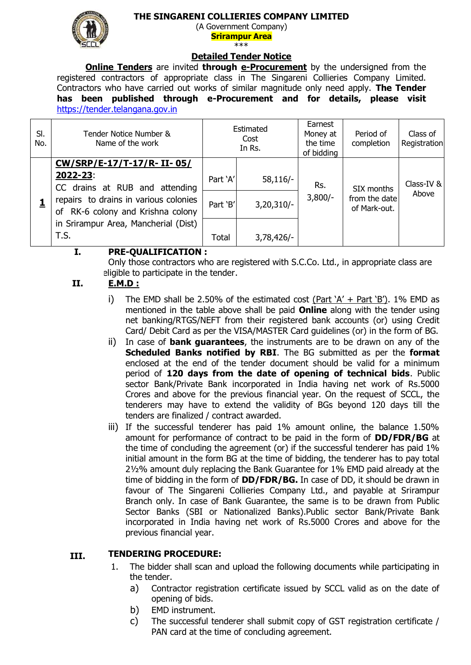## **THE SINGARENI COLLIERIES COMPANY LIMITED**



(A Government Company) **Srirampur Area**  \*\*\*

### **Detailed Tender Notice**

**Online Tenders** are invited **through e-Procurement** by the undersigned from the registered contractors of appropriate class in The Singareni Collieries Company Limited. Contractors who have carried out works of similar magnitude only need apply. **The Tender has been published through e-Procurement and for details, please visit**  [https://tender.telangana.gov.in](https://tender.telangana.gov.in/)

| SI.<br>No. | Tender Notice Number &<br>Name of the work |              | Estimated<br>Cost<br>In Rs. | Earnest<br>Money at<br>the time<br>of bidding | Period of<br>completion                     | Class of<br>Registration |
|------------|--------------------------------------------|--------------|-----------------------------|-----------------------------------------------|---------------------------------------------|--------------------------|
|            | CW/SRP/E-17/T-17/R-II-05/                  |              |                             |                                               |                                             |                          |
|            | 2022-23:<br>CC drains at RUB and attending | Part 'A'     | $58,116/-$                  | Rs.<br>$3,800/-$                              | SIX months<br>from the date<br>of Mark-out. | Class-IV &<br>Above      |
|            |                                            |              |                             |                                               |                                             |                          |
|            | repairs to drains in various colonies      | Part 'B'     | $3,20,310/-$                |                                               |                                             |                          |
|            | of RK-6 colony and Krishna colony          |              |                             |                                               |                                             |                          |
|            | in Srirampur Area, Mancherial (Dist)       |              |                             |                                               |                                             |                          |
|            | T.S.                                       | <b>Total</b> | $3,78,426/-$                |                                               |                                             |                          |

#### **I. PRE-QUALIFICATION :**

Only those contractors who are registered with S.C.Co. Ltd., in appropriate class are eligible to participate in the tender.

#### **II. E.M.D :**

- i) The EMD shall be 2.50% of the estimated cost (Part  $A' +$  Part  $B$ ). 1% EMD as mentioned in the table above shall be paid **Online** along with the tender using net banking/RTGS/NEFT from their registered bank accounts (or) using Credit Card/ Debit Card as per the VISA/MASTER Card guidelines (or) in the form of BG.
- ii) In case of **bank guarantees**, the instruments are to be drawn on any of the **Scheduled Banks notified by RBI**. The BG submitted as per the **format**  enclosed at the end of the tender document should be valid for a minimum period of **120 days from the date of opening of technical bids**. Public sector Bank/Private Bank incorporated in India having net work of Rs.5000 Crores and above for the previous financial year. On the request of SCCL, the tenderers may have to extend the validity of BGs beyond 120 days till the tenders are finalized / contract awarded.
- iii) If the successful tenderer has paid 1% amount online, the balance 1.50% amount for performance of contract to be paid in the form of **DD/FDR/BG** at the time of concluding the agreement (or) if the successful tenderer has paid 1% initial amount in the form BG at the time of bidding, the tenderer has to pay total 2½% amount duly replacing the Bank Guarantee for 1% EMD paid already at the time of bidding in the form of **DD/FDR/BG.** In case of DD, it should be drawn in favour of The Singareni Collieries Company Ltd., and payable at Srirampur Branch only. In case of Bank Guarantee, the same is to be drawn from Public Sector Banks (SBI or Nationalized Banks).Public sector Bank/Private Bank incorporated in India having net work of Rs.5000 Crores and above for the previous financial year.

#### **III. TENDERING PROCEDURE:**

- 1. The bidder shall scan and upload the following documents while participating in the tender.
	- a) Contractor registration certificate issued by SCCL valid as on the date of opening of bids.
	- b) EMD instrument.
	- c) The successful tenderer shall submit copy of GST registration certificate / PAN card at the time of concluding agreement.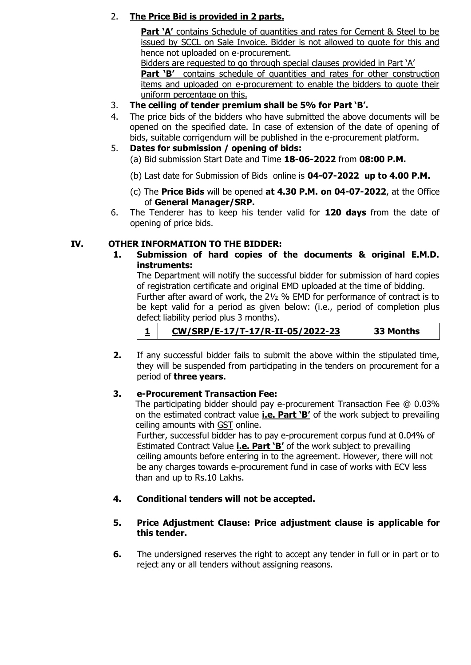# 2. **The Price Bid is provided in 2 parts.**

**Part 'A'** contains Schedule of quantities and rates for Cement & Steel to be issued by SCCL on Sale Invoice. Bidder is not allowed to quote for this and hence not uploaded on e-procurement.

Bidders are requested to go through special clauses provided in Part 'A'

**Part 'B'** contains schedule of quantities and rates for other construction items and uploaded on e-procurement to enable the bidders to quote their uniform percentage on this.

- 3. **The ceiling of tender premium shall be 5% for Part 'B'.**
- 4. The price bids of the bidders who have submitted the above documents will be opened on the specified date. In case of extension of the date of opening of bids, suitable corrigendum will be published in the e-procurement platform.

## 5. **Dates for submission / opening of bids:**

- (a) Bid submission Start Date and Time **18-06-2022** from **08:00 P.M.**
- (b) Last date for Submission of Bids online is **04-07-2022 up to 4.00 P.M.**
- (c) The **Price Bids** will be opened **at 4.30 P.M. on 04-07-2022**, at the Office of **General Manager/SRP.**
- 6. The Tenderer has to keep his tender valid for **120 days** from the date of opening of price bids.

## **IV. OTHER INFORMATION TO THE BIDDER:**

**1. Submission of hard copies of the documents & original E.M.D. instruments:**

The Department will notify the successful bidder for submission of hard copies of registration certificate and original EMD uploaded at the time of bidding. Further after award of work, the 2½ % EMD for performance of contract is to be kept valid for a period as given below: (i.e., period of completion plus defect liability period plus 3 months).

- **1 CW/SRP/E-17/T-17/R-II-05/2022-23 33 Months**
- **2.** If any successful bidder fails to submit the above within the stipulated time, they will be suspended from participating in the tenders on procurement for a period of **three years.**

## **3. e-Procurement Transaction Fee:**

The participating bidder should pay e-procurement Transaction Fee @ 0.03% on the estimated contract value **i.e. Part 'B'** of the work subject to prevailing ceiling amounts with GST online.

Further, successful bidder has to pay e-procurement corpus fund at 0.04% of Estimated Contract Value **i.e. Part 'B'** of the work subject to prevailing ceiling amounts before entering in to the agreement. However, there will not be any charges towards e-procurement fund in case of works with ECV less than and up to Rs.10 Lakhs.

## **4. Conditional tenders will not be accepted.**

## **5. Price Adjustment Clause: Price adjustment clause is applicable for this tender.**

**6.** The undersigned reserves the right to accept any tender in full or in part or to reject any or all tenders without assigning reasons.